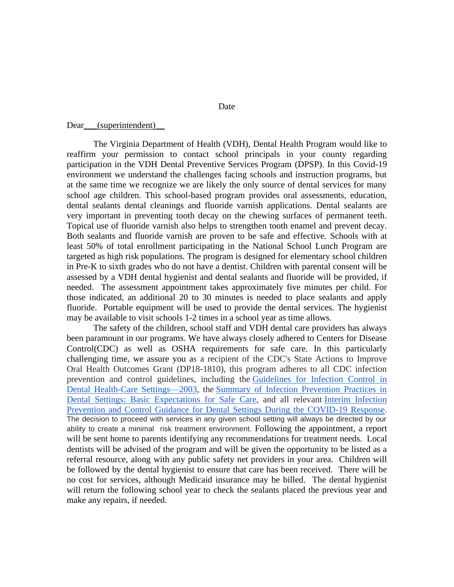Date

## Dear (superintendent)

The Virginia Department of Health (VDH), Dental Health Program would like to reaffirm your permission to contact school principals in your county regarding participation in the VDH Dental Preventive Services Program (DPSP). In this Covid-19 environment we understand the challenges facing schools and instruction programs, but at the same time we recognize we are likely the only source of dental services for many school age children. This school-based program provides oral assessments, education, dental sealants dental cleanings and fluoride varnish applications. Dental sealants are very important in preventing tooth decay on the chewing surfaces of permanent teeth. Topical use of fluoride varnish also helps to strengthen tooth enamel and prevent decay. Both sealants and fluoride varnish are proven to be safe and effective. Schools with at least 50% of total enrollment participating in the National School Lunch Program are targeted as high risk populations. The program is designed for elementary school children in Pre-K to sixth grades who do not have a dentist. Children with parental consent will be assessed by a VDH dental hygienist and dental sealants and fluoride will be provided, if needed. The assessment appointment takes approximately five minutes per child. For those indicated, an additional 20 to 30 minutes is needed to place sealants and apply fluoride. Portable equipment will be used to provide the dental services. The hygienist may be available to visit schools 1-2 times in a school year as time allows.

The safety of the children, school staff and VDH dental care providers has always been paramount in our programs. We have always closely adhered to Centers for Disease Control(CDC) as well as OSHA requirements for safe care. In this particularly challenging time, we assure you as a recipient of the CDC's State Actions to Improve Oral Health Outcomes Grant (DP18-1810), this program adheres to all CDC infection prevention and control guidelines, including the [Guidelines for Infection Control in](https://www.cdc.gov/mmwr/PDF/rr/rr5217.pdf)  [Dental Health-Care Settings—2003,](https://www.cdc.gov/mmwr/PDF/rr/rr5217.pdf) the [Summary of Infection Prevention Practices in](https://www.cdc.gov/oralhealth/infectioncontrol/summary-infection-prevention-practices/index.html)  [Dental Settings: Basic Expectations for Safe Care,](https://www.cdc.gov/oralhealth/infectioncontrol/summary-infection-prevention-practices/index.html) and all relevant [Interim Infection](https://www.cdc.gov/coronavirus/2019-ncov/hcp/dental-settings.html)  [Prevention and Control Guidance for Dental Settings During the COVID-19 Response](https://www.cdc.gov/coronavirus/2019-ncov/hcp/dental-settings.html). The decision to proceed with services in any given school setting will always be directed by our ability to create a minimal risk treatment environment. Following the appointment, a report will be sent home to parents identifying any recommendations for treatment needs. Local dentists will be advised of the program and will be given the opportunity to be listed as a referral resource, along with any public safety net providers in your area. Children will be followed by the dental hygienist to ensure that care has been received. There will be no cost for services, although Medicaid insurance may be billed. The dental hygienist will return the following school year to check the sealants placed the previous year and make any repairs, if needed.